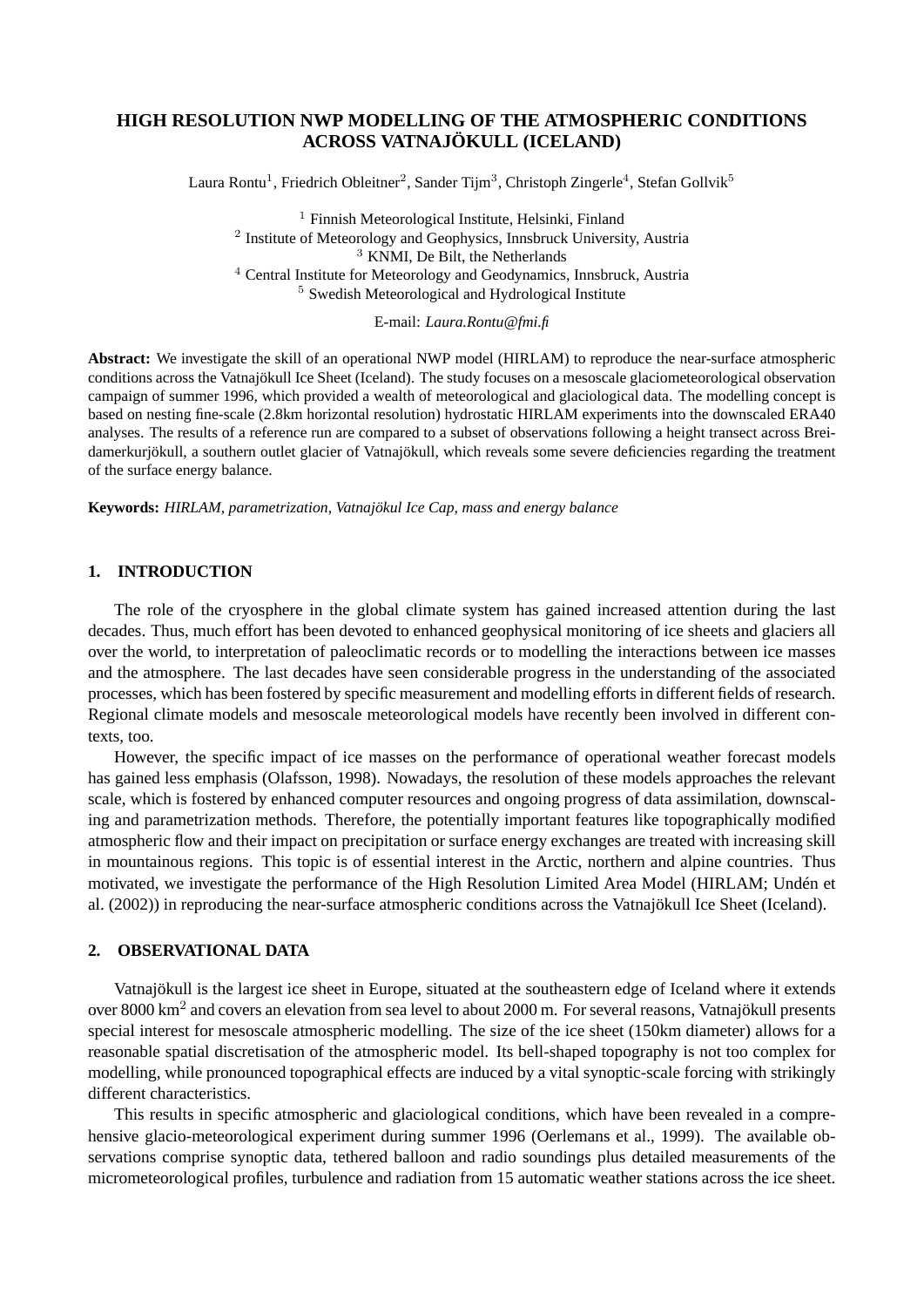# **HIGH RESOLUTION NWP MODELLING OF THE ATMOSPHERIC CONDITIONS ACROSS VATNAJÖKULL (ICELAND)**

Laura Rontu<sup>1</sup>, Friedrich Obleitner<sup>2</sup>, Sander Tijm<sup>3</sup>, Christoph Zingerle<sup>4</sup>, Stefan Gollvik<sup>5</sup>

 Finnish Meteorological Institute, Helsinki, Finland Institute of Meteorology and Geophysics, Innsbruck University, Austria KNMI, De Bilt, the Netherlands Central Institute for Meteorology and Geodynamics, Innsbruck, Austria Swedish Meteorological and Hydrological Institute

E-mail: *Laura.Rontu@fmi.fi*

**Abstract:** We investigate the skill of an operational NWP model (HIRLAM) to reproduce the near-surface atmospheric conditions across the Vatnajökull Ice Sheet (Iceland). The study focuses on a mesoscale glaciometeorological observation campaign of summer 1996, which provided a wealth of meteorological and glaciological data. The modelling concept is based on nesting fine-scale (2.8km horizontal resolution) hydrostatic HIRLAM experiments into the downscaled ERA40 analyses. The results of a reference run are compared to a subset of observations following a height transect across Breidamerkurjökull, a southern outlet glacier of Vatnajökull, which reveals some severe deficiencies regarding the treatment of the surface energy balance.

**Keywords:** *HIRLAM, parametrization, Vatnajökul Ice Cap, mass and energy balance*

## **1. INTRODUCTION**

The role of the cryosphere in the global climate system has gained increased attention during the last decades. Thus, much effort has been devoted to enhanced geophysical monitoring of ice sheets and glaciers all over the world, to interpretation of paleoclimatic records or to modelling the interactions between ice masses and the atmosphere. The last decades have seen considerable progress in the understanding of the associated processes, which has been fostered by specific measurement and modelling efforts in different fields of research. Regional climate models and mesoscale meteorological models have recently been involved in different contexts, too.

However, the specific impact of ice masses on the performance of operational weather forecast models has gained less emphasis (Olafsson, 1998). Nowadays, the resolution of these models approaches the relevant scale, which is fostered by enhanced computer resources and ongoing progress of data assimilation, downscaling and parametrization methods. Therefore, the potentially important features like topographically modified atmospheric flow and their impact on precipitation or surface energy exchanges are treated with increasing skill in mountainous regions. This topic is of essential interest in the Arctic, northern and alpine countries. Thus motivated, we investigate the performance of the High Resolution Limited Area Model (HIRLAM; Undén et al. (2002)) in reproducing the near-surface atmospheric conditions across the Vatnajökull Ice Sheet (Iceland).

## **2. OBSERVATIONAL DATA**

Vatnajökull is the largest ice sheet in Europe, situated at the southeastern edge of Iceland where it extends over 8000 km $^2$  and covers an elevation from sea level to about 2000 m. For several reasons, Vatnajökull presents special interest for mesoscale atmospheric modelling. The size of the ice sheet (150km diameter) allows for a reasonable spatial discretisation of the atmospheric model. Its bell-shaped topography is not too complex for modelling, while pronounced topographical effects are induced by a vital synoptic-scale forcing with strikingly different characteristics.

This results in specific atmospheric and glaciological conditions, which have been revealed in a comprehensive glacio-meteorological experiment during summer 1996 (Oerlemans et al., 1999). The available observations comprise synoptic data, tethered balloon and radio soundings plus detailed measurements of the micrometeorological profiles, turbulence and radiation from 15 automatic weather stations across the ice sheet.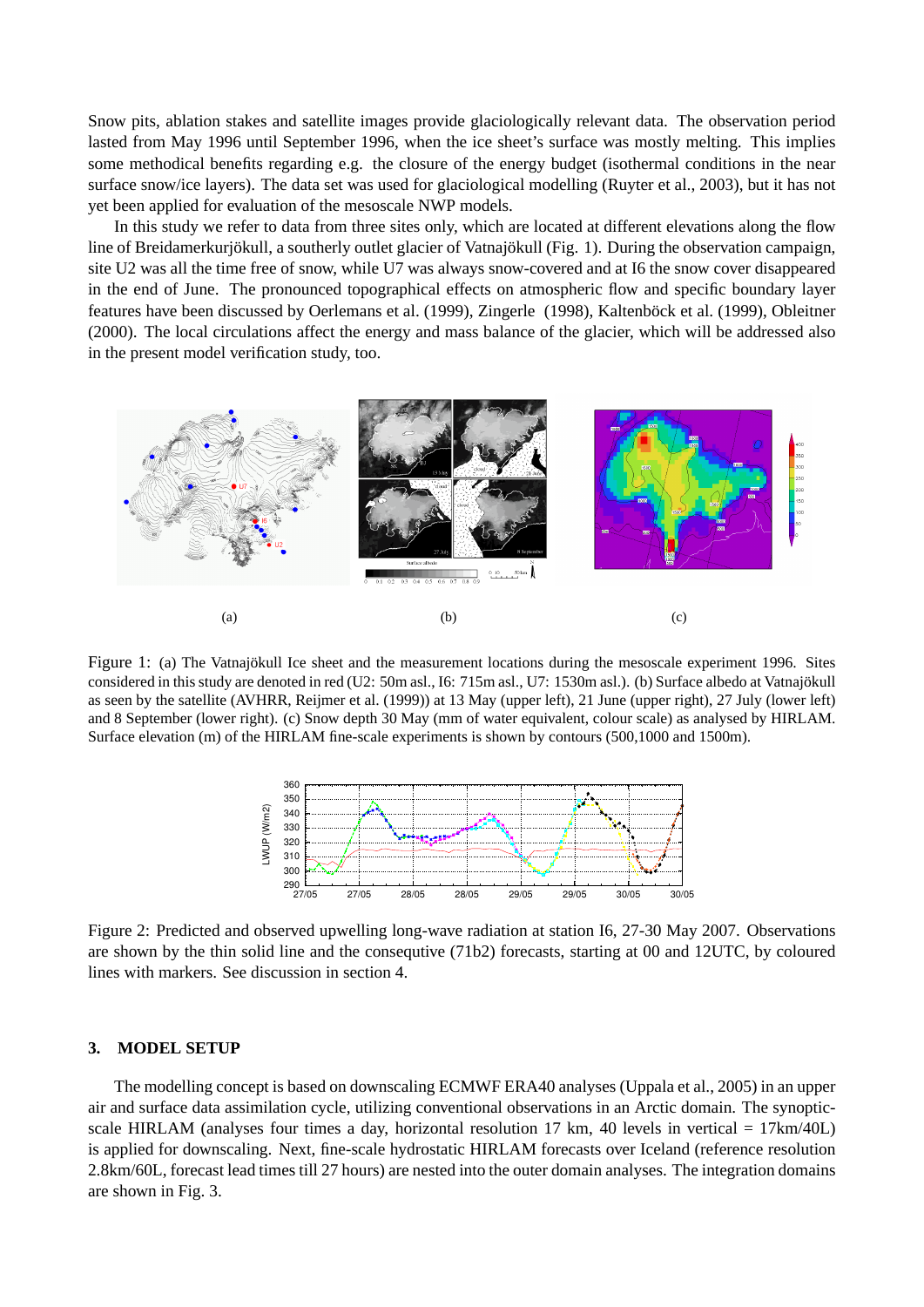Snow pits, ablation stakes and satellite images provide glaciologically relevant data. The observation period lasted from May 1996 until September 1996, when the ice sheet's surface was mostly melting. This implies some methodical benefits regarding e.g. the closure of the energy budget (isothermal conditions in the near surface snow/ice layers). The data set was used for glaciological modelling (Ruyter et al., 2003), but it has not yet been applied for evaluation of the mesoscale NWP models.

In this study we refer to data from three sites only, which are located at different elevations along the flow line of Breidamerkurjökull, a southerly outlet glacier of Vatnajökull (Fig. 1). During the observation campaign, site U2 was all the time free of snow, while U7 was always snow-covered and at I6 the snow cover disappeared in the end of June. The pronounced topographical effects on atmospheric flow and specific boundary layer features have been discussed by Oerlemans et al. (1999), Zingerle (1998), Kaltenböck et al. (1999), Obleitner (2000). The local circulations affect the energy and mass balance of the glacier, which will be addressed also in the present model verification study, too.



Figure 1: (a) The Vatnajökull Ice sheet and the measurement locations during the mesoscale experiment 1996. Sites considered in this study are denoted in red (U2: 50m asl., I6: 715m asl., U7: 1530m asl.). (b) Surface albedo at Vatnajökull as seen by the satellite (AVHRR, Reijmer et al. (1999)) at 13 May (upper left), 21 June (upper right), 27 July (lower left) and 8 September (lower right). (c) Snow depth 30 May (mm of water equivalent, colour scale) as analysed by HIRLAM. Surface elevation (m) of the HIRLAM fine-scale experiments is shown by contours (500,1000 and 1500m).



Figure 2: Predicted and observed upwelling long-wave radiation at station I6, 27-30 May 2007. Observations are shown by the thin solid line and the consequtive (71b2) forecasts, starting at 00 and 12UTC, by coloured lines with markers. See discussion in section 4.

#### **3. MODEL SETUP**

The modelling concept is based on downscaling ECMWF ERA40 analyses (Uppala et al., 2005) in an upper air and surface data assimilation cycle, utilizing conventional observations in an Arctic domain. The synopticscale HIRLAM (analyses four times a day, horizontal resolution 17 km, 40 levels in vertical =  $17 \text{ km}/40 \text{ L}$ ) is applied for downscaling. Next, fine-scale hydrostatic HIRLAM forecasts over Iceland (reference resolution 2.8km/60L, forecast lead times till 27 hours) are nested into the outer domain analyses. The integration domains are shown in Fig. 3.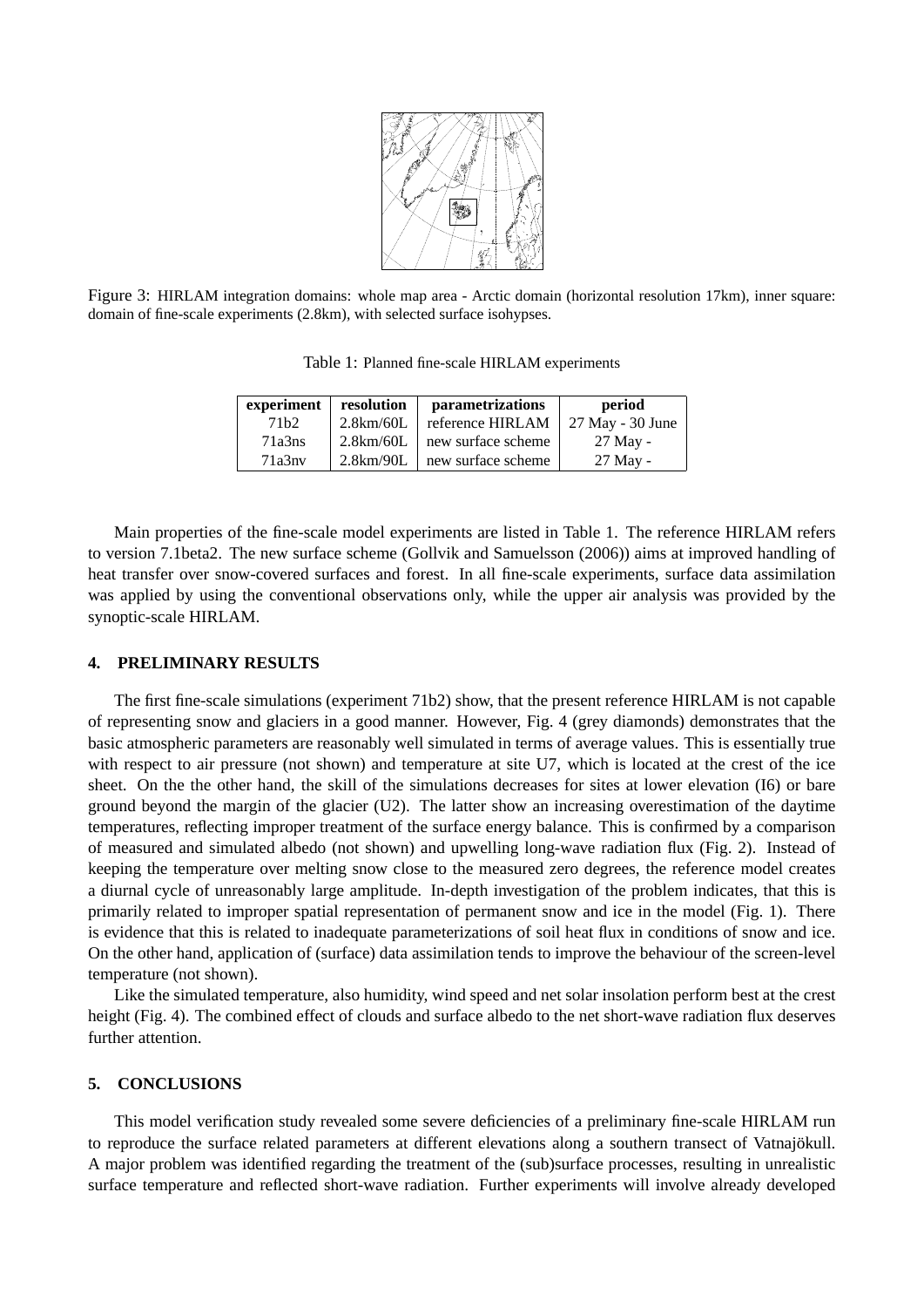

Figure 3: HIRLAM integration domains: whole map area - Arctic domain (horizontal resolution 17km), inner square: domain of fine-scale experiments (2.8km), with selected surface isohypses.

Table 1: Planned fine-scale HIRLAM experiments

| experiment        | resolution | parametrizations   | period           |
|-------------------|------------|--------------------|------------------|
| 71 <sub>b</sub> 2 | 2.8km/60L  | reference HIRLAM   | 27 May - 30 June |
| 71a3ns            | 2.8km/60L  | new surface scheme | 27 May -         |
| 71a3nv            | 2.8km/90L  | new surface scheme | 27 May -         |

Main properties of the fine-scale model experiments are listed in Table 1. The reference HIRLAM refers to version 7.1beta2. The new surface scheme (Gollvik and Samuelsson (2006)) aims at improved handling of heat transfer over snow-covered surfaces and forest. In all fine-scale experiments, surface data assimilation was applied by using the conventional observations only, while the upper air analysis was provided by the synoptic-scale HIRLAM.

#### **4. PRELIMINARY RESULTS**

The first fine-scale simulations (experiment 71b2) show, that the present reference HIRLAM is not capable of representing snow and glaciers in a good manner. However, Fig. 4 (grey diamonds) demonstrates that the basic atmospheric parameters are reasonably well simulated in terms of average values. This is essentially true with respect to air pressure (not shown) and temperature at site U7, which is located at the crest of the ice sheet. On the the other hand, the skill of the simulations decreases for sites at lower elevation (I6) or bare ground beyond the margin of the glacier (U2). The latter show an increasing overestimation of the daytime temperatures, reflecting improper treatment of the surface energy balance. This is confirmed by a comparison of measured and simulated albedo (not shown) and upwelling long-wave radiation flux (Fig. 2). Instead of keeping the temperature over melting snow close to the measured zero degrees, the reference model creates a diurnal cycle of unreasonably large amplitude. In-depth investigation of the problem indicates, that this is primarily related to improper spatial representation of permanent snow and ice in the model (Fig. 1). There is evidence that this is related to inadequate parameterizations of soil heat flux in conditions of snow and ice. On the other hand, application of (surface) data assimilation tends to improve the behaviour of the screen-level temperature (not shown).

Like the simulated temperature, also humidity, wind speed and net solar insolation perform best at the crest height (Fig. 4). The combined effect of clouds and surface albedo to the net short-wave radiation flux deserves further attention.

#### **5. CONCLUSIONS**

This model verification study revealed some severe deficiencies of a preliminary fine-scale HIRLAM run to reproduce the surface related parameters at different elevations along a southern transect of Vatnajökull. A major problem was identified regarding the treatment of the (sub)surface processes, resulting in unrealistic surface temperature and reflected short-wave radiation. Further experiments will involve already developed